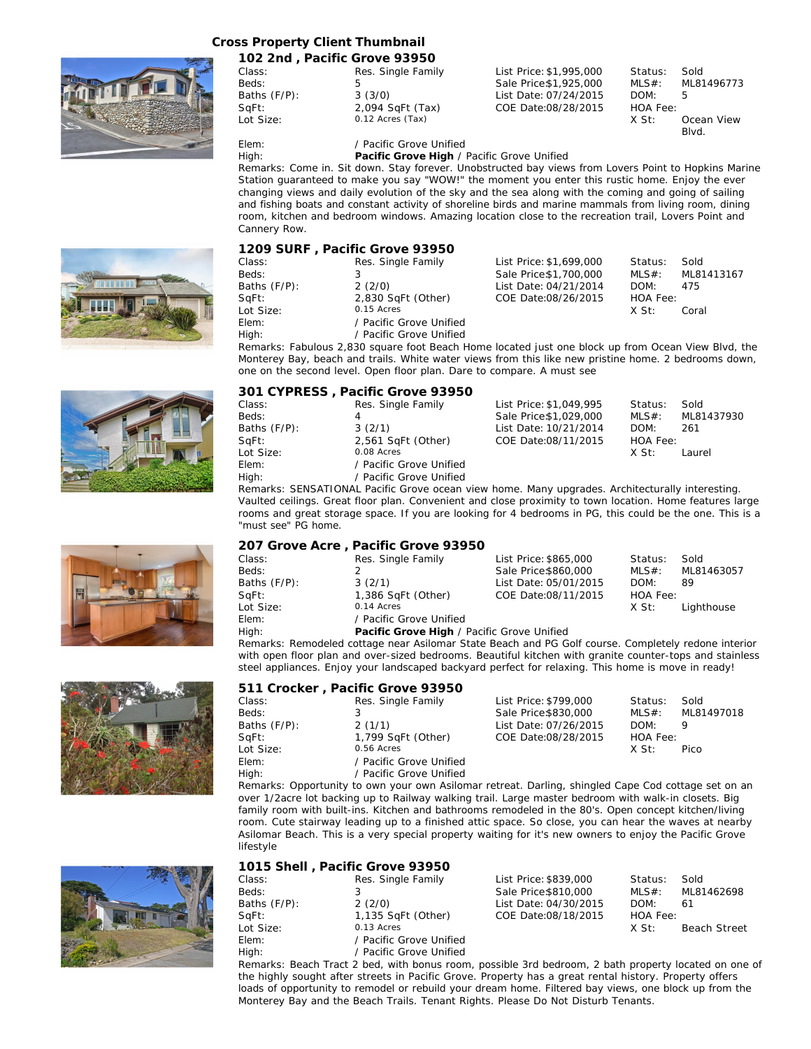## **Cross Property Client Thumbnail**



|              | 102 2nd, Pacific Grove 93950 |                         |          |            |
|--------------|------------------------------|-------------------------|----------|------------|
| Class:       | Res. Single Family           | List Price: \$1,995,000 | Status:  | Sold       |
| Beds:        | 5                            | Sale Price \$1,925,000  | $MLS#$ : | ML81496773 |
| Baths (F/P): | 3(3/0)                       | List Date: 07/24/2015   | DOM:     | 5          |
| SqFt:        | 2,094 SqFt (Tax)             | COE Date:08/28/2015     | HOA Fee: |            |
| Lot Size:    | 0.12 Acres (Tax)             |                         | X St:    | Ocean View |
|              |                              |                         |          | Blvd.      |

Elem: / Pacific Grove Unified

High: **Pacific Grove High** / Pacific Grove Unified

Remarks: Come in. Sit down. Stay forever. Unobstructed bay views from Lovers Point to Hopkins Marine Station guaranteed to make you say "WOW!" the moment you enter this rustic home. Enjoy the ever changing views and daily evolution of the sky and the sea along with the coming and going of sailing and fishing boats and constant activity of shoreline birds and marine mammals from living room, dining room, kitchen and bedroom windows. Amazing location close to the recreation trail, Lovers Point and Cannery Row.

|              |              | 1209 SURF, Pacific Grove 93950 |                         |          |            |
|--------------|--------------|--------------------------------|-------------------------|----------|------------|
|              | Class:       | Res. Single Family             | List Price: \$1,699,000 | Status:  | Sold       |
|              | Beds:        |                                | Sale Price:\$1,700,000  | $MLS#$ : | ML81413167 |
| $\mathbb{R}$ | Baths (F/P): | 2(2/0)                         | List Date: 04/21/2014   | DOM:     | 475        |
|              | SqFt:        | 2,830 SqFt (Other)             | COE Date:08/26/2015     | HOA Fee: |            |
| I            | Lot Size:    | 0.15 Acres                     |                         | X St:    | Coral      |
|              | Elem:        | / Pacific Grove Unified        |                         |          |            |
|              | High:        | Pacific Grove Unified          |                         |          |            |

Remarks: Fabulous 2,830 square foot Beach Home located just one block up from Ocean View Blvd, the Monterey Bay, beach and trails. White water views from this like new pristine home. 2 bedrooms down, one on the second level. Open floor plan. Dare to compare. A must see

|              | 301 CYPRESS, Pacific Grove 93950 |                         |          |            |
|--------------|----------------------------------|-------------------------|----------|------------|
| Class:       | Res. Single Family               | List Price: \$1,049,995 | Status:  | Sold       |
| Beds:        | 4                                | Sale Price \$1,029,000  | $MLS#$ : | ML81437930 |
| Baths (F/P): | 3(2/1)                           | List Date: 10/21/2014   | DOM:     | 261        |
| SqFt:        | 2,561 SqFt (Other)               | COE Date:08/11/2015     | HOA Fee: |            |
| Lot Size:    | 0.08 Acres                       |                         | X St:    | Laurel     |
| Elem:        | / Pacific Grove Unified          |                         |          |            |
| High:        | / Pacific Grove Unified          |                         |          |            |

Remarks: SENSATIONAL Pacific Grove ocean view home. Many upgrades. Architecturally interesting. Vaulted ceilings. Great floor plan. Convenient and close proximity to town location. Home features large rooms and great storage space. If you are looking for 4 bedrooms in PG, this could be the one. This is a "must see" PG home.

| 207 Grove Acre, Pacific Grove 93950 |  |  |  |  |
|-------------------------------------|--|--|--|--|
|                                     |  |  |  |  |

| Class:       | Res. Single Family                         | List Price: \$865,000 | Status:  | Sold       |
|--------------|--------------------------------------------|-----------------------|----------|------------|
| Beds:        |                                            | Sale Price \$860,000  | $MLS#$ : | ML81463057 |
| Baths (F/P): | 3(2/1)                                     | List Date: 05/01/2015 | DOM:     | 89         |
| SqFt:        | 1,386 SqFt (Other)                         | COE Date:08/11/2015   | HOA Fee: |            |
| Lot Size:    | 0.14 Acres                                 |                       | X St:    | Lighthouse |
| Elem:        | / Pacific Grove Unified                    |                       |          |            |
| High:        | Pacific Grove High / Pacific Grove Unified |                       |          |            |
|              |                                            |                       |          |            |

Remarks: Remodeled cottage near Asilomar State Beach and PG Golf course. Completely redone interior with open floor plan and over-sized bedrooms. Beautiful kitchen with granite counter-tops and stainless steel appliances. Enjoy your landscaped backyard perfect for relaxing. This home is move in ready!

|              | 511 Crocker, Pacific Grove 93950                                                                   |                       |          |            |
|--------------|----------------------------------------------------------------------------------------------------|-----------------------|----------|------------|
| Class:       | Res. Single Family                                                                                 | List Price: \$799,000 | Status:  | Sold       |
| Beds:        |                                                                                                    | Sale Price \$830,000  | MLS#:    | ML81497018 |
| Baths (F/P): | 2(1/1)                                                                                             | List Date: 07/26/2015 | DOM:     | 9          |
| SqFt:        | 1,799 SqFt (Other)                                                                                 | COE Date:08/28/2015   | HOA Fee: |            |
| Lot Size:    | 0.56 Acres                                                                                         |                       | X St:    | Pico       |
| Elem:        | / Pacific Grove Unified                                                                            |                       |          |            |
| High:        | / Pacific Grove Unified                                                                            |                       |          |            |
|              | Remarks: Opportunity to own your own Asilemar retreat. Darling, shippled Cane Cod settage set on a |                       |          |            |

Remarks: Opportunity to own your own Asilomar retreat. Darling, shingled Cape Cod cottage set on an over 1/2acre lot backing up to Railway walking trail. Large master bedroom with walk-in closets. Big family room with built-ins. Kitchen and bathrooms remodeled in the 80's. Open concept kitchen/living room. Cute stairway leading up to a finished attic space. So close, you can hear the waves at nearby Asilomar Beach. This is a very special property waiting for it's new owners to enjoy the Pacific Grove lifestyle

| 1015 Shell, Pacific Grove 93950 |                         |                       |                 |              |
|---------------------------------|-------------------------|-----------------------|-----------------|--------------|
| Class:                          | Res. Single Family      | List Price: \$839,000 | Status:         | Sold         |
| Beds:                           |                         | Sale Price \$810,000  | $MLS#$ :        | ML81462698   |
| Baths (F/P):                    | 2(2/0)                  | List Date: 04/30/2015 | DOM:            | 61           |
| SqFt:                           | 1,135 SqFt (Other)      | COE Date:08/18/2015   | <b>HOA Fee:</b> |              |
| Lot Size:                       | 0.13 Acres              |                       | X St:           | Beach Street |
| Elem:                           | / Pacific Grove Unified |                       |                 |              |
| High:                           | / Pacific Grove Unified |                       |                 |              |

Remarks: Beach Tract 2 bed, with bonus room, possible 3rd bedroom, 2 bath property located on one of the highly sought after streets in Pacific Grove. Property has a great rental history. Property offers loads of opportunity to remodel or rebuild your dream home. Filtered bay views, one block up from the Monterey Bay and the Beach Trails. Tenant Rights. Please Do Not Disturb Tenants.









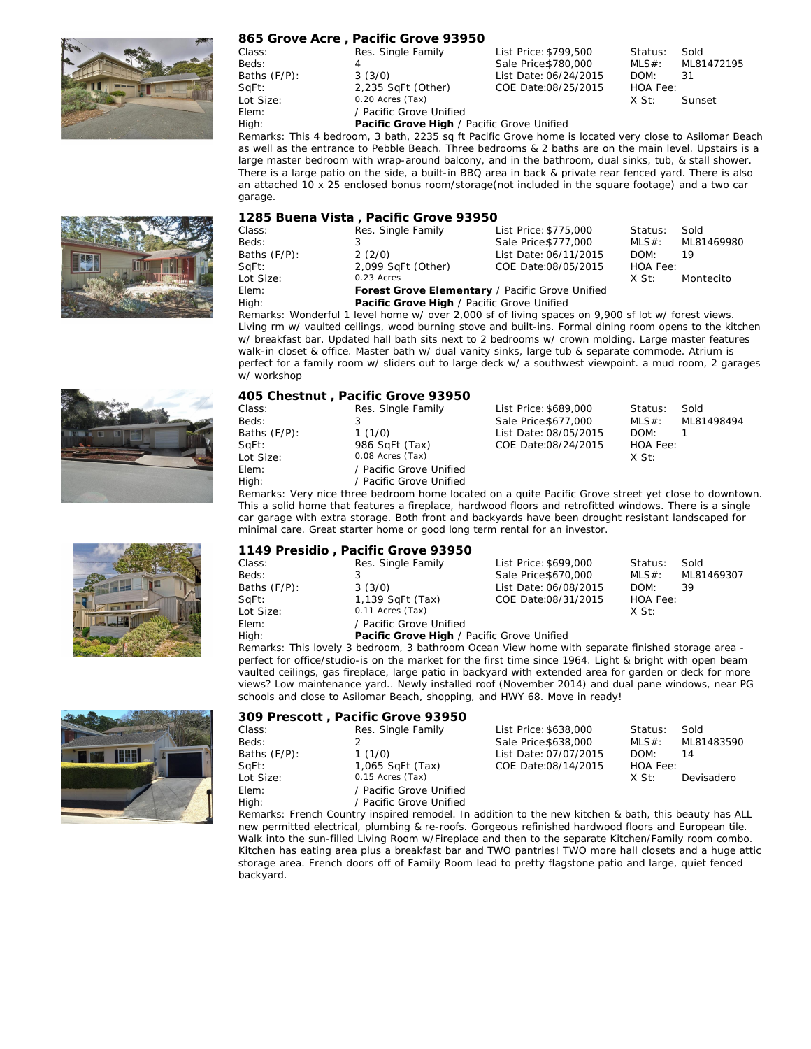

|              | 865 Grove Acre, Pacific Grove 93950        |                       |          |        |
|--------------|--------------------------------------------|-----------------------|----------|--------|
| Class:       | Res. Single Family                         | List Price: \$799,500 | Status:  | Sold   |
| Beds:        |                                            | Sale Price \$780,000  | $MLS#$ : | ML8147 |
| Baths (F/P): | 3(3/0)                                     | List Date: 06/24/2015 | DOM:     | 31     |
| SqFt:        | 2,235 SqFt (Other)                         | COE Date:08/25/2015   | HOA Fee: |        |
| Lot Size:    | 0.20 Acres (Tax)                           |                       | X St:    | Sunset |
| Elem:        | / Pacific Grove Unified                    |                       |          |        |
| L            | Doolfie Croup High / Doolfie Croup Haified |                       |          |        |

MLS#: ML81472195

High: **Pacific Grove High** / Pacific Grove Unified

Remarks: This 4 bedroom, 3 bath, 2235 sq ft Pacific Grove home is located very close to Asilomar Beach as well as the entrance to Pebble Beach. Three bedrooms & 2 baths are on the main level. Upstairs is a large master bedroom with wrap-around balcony, and in the bathroom, dual sinks, tub, & stall shower. There is a large patio on the side, a built-in BBQ area in back & private rear fenced yard. There is also an attached 10 x 25 enclosed bonus room/storage(not included in the square footage) and a two car garage.

|              | 1285 Buena Vista, Pacific Grove 93950           |                       |          |            |  |
|--------------|-------------------------------------------------|-----------------------|----------|------------|--|
| Class:       | Res. Single Family                              | List Price: \$775,000 | Status:  | Sold       |  |
| Beds:        |                                                 | Sale Price \$777,000  | MLS#:    | ML81469980 |  |
| Baths (F/P): | 2(2/0)                                          | List Date: 06/11/2015 | DOM:     | -19        |  |
| SqFt:        | 2,099 SqFt (Other)                              | COE Date:08/05/2015   | HOA Fee: |            |  |
| Lot Size:    | 0.23 Acres                                      |                       | X St:    | Montecito  |  |
| Elem:        | Forest Grove Elementary / Pacific Grove Unified |                       |          |            |  |
| High:        | Pacific Grove High / Pacific Grove Unified      |                       |          |            |  |

Remarks: Wonderful 1 level home w/ over 2,000 sf of living spaces on 9,900 sf lot w/ forest views. Living rm w/ vaulted ceilings, wood burning stove and built-ins. Formal dining room opens to the kitchen w/ breakfast bar. Updated hall bath sits next to 2 bedrooms w/ crown molding. Large master features walk-in closet & office. Master bath w/ dual vanity sinks, large tub & separate commode. Atrium is perfect for a family room w/ sliders out to large deck w/ a southwest viewpoint. a mud room, 2 garages w/ workshop





|                                                                                                    | 405 Chestnut, Pacific Grove 93950 |                       |          |            |  |
|----------------------------------------------------------------------------------------------------|-----------------------------------|-----------------------|----------|------------|--|
| Class:                                                                                             | Res. Single Family                | List Price: \$689,000 | Status:  | Sold       |  |
| Beds:                                                                                              |                                   | Sale Price \$677,000  | $MLS#$ : | ML81498494 |  |
| Baths (F/P):                                                                                       | 1(1/0)                            | List Date: 08/05/2015 | DOM:     |            |  |
| SqFt:                                                                                              | 986 SqFt (Tax)                    | COE Date:08/24/2015   | HOA Fee: |            |  |
| Lot Size:                                                                                          | 0.08 Acres (Tax)                  |                       | $X$ St:  |            |  |
| Elem:                                                                                              | / Pacific Grove Unified           |                       |          |            |  |
| High:                                                                                              | / Pacific Grove Unified           |                       |          |            |  |
| Remarks: Very nice three bedroom home located on a quite Pacific Grove street yet close to downtov |                                   |                       |          |            |  |
|                                                                                                    |                                   |                       |          |            |  |

street yet close to downtown. This a solid home that features a fireplace, hardwood floors and retrofitted windows. There is a single car garage with extra storage. Both front and backyards have been drought resistant landscaped for minimal care. Great starter home or good long term rental for an investor.

|              | 1149 Presidio, Pacific Grove 93950         |                       |          |            |
|--------------|--------------------------------------------|-----------------------|----------|------------|
| Class:       | Res. Single Family                         | List Price: \$699,000 | Status:  | Sold       |
| Beds:        |                                            | Sale Price \$670,000  | MLS#:    | ML81469307 |
| Baths (F/P): | 3(3/0)                                     | List Date: 06/08/2015 | DOM:     | -39        |
| SqFt:        | 1,139 SqFt (Tax)                           | COE Date:08/31/2015   | HOA Fee: |            |
| Lot Size:    | 0.11 Acres (Tax)                           |                       | X St:    |            |
| Elem:        | / Pacific Grove Unified                    |                       |          |            |
| High:        | Pacific Grove High / Pacific Grove Unified |                       |          |            |

Remarks: This lovely 3 bedroom, 3 bathroom Ocean View home with separate finished storage area perfect for office/studio-is on the market for the first time since 1964. Light & bright with open beam vaulted ceilings, gas fireplace, large patio in backyard with extended area for garden or deck for more views? Low maintenance yard.. Newly installed roof (November 2014) and dual pane windows, near PG schools and close to Asilomar Beach, shopping, and HWY 68. Move in ready!

|              | 309 Prescott, Pacific Grove 93950 |                       |          |            |
|--------------|-----------------------------------|-----------------------|----------|------------|
| Class:       | Res. Single Family                | List Price: \$638,000 | Status:  | Sold       |
| Beds:        |                                   | Sale Price \$638,000  | $MLS#$ : | ML81483590 |
| Baths (F/P): | 1(1/0)                            | List Date: 07/07/2015 | DOM:     | 14         |
| SqFt:        | 1,065 SqFt (Tax)                  | COE Date:08/14/2015   | HOA Fee: |            |
| Lot Size:    | 0.15 Acres (Tax)                  |                       | X St:    | Devisadero |
| Elem:        | / Pacific Grove Unified           |                       |          |            |
| High:        | / Pacific Grove Unified           |                       |          |            |

Remarks: French Country inspired remodel. In addition to the new kitchen & bath, this beauty has ALL new permitted electrical, plumbing & re-roofs. Gorgeous refinished hardwood floors and European tile. Walk into the sun-filled Living Room w/Fireplace and then to the separate Kitchen/Family room combo. Kitchen has eating area plus a breakfast bar and TWO pantries! TWO more hall closets and a huge attic storage area. French doors off of Family Room lead to pretty flagstone patio and large, quiet fenced backyard.